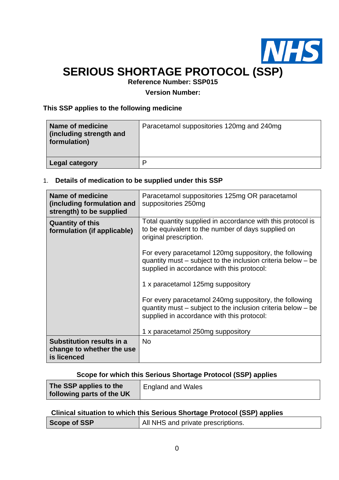

# **SERIOUS SHORTAGE PROTOCOL (SSP)**

**Reference Number: SSP015**

#### **Version Number:**

#### **This SSP applies to the following medicine**

| <b>Name of medicine</b><br>(including strength and<br>formulation) | Paracetamol suppositories 120mg and 240mg |
|--------------------------------------------------------------------|-------------------------------------------|
| Legal category                                                     |                                           |

## 1. **Details of medication to be supplied under this SSP**

| <b>Name of medicine</b><br>(including formulation and<br>strength) to be supplied | Paracetamol suppositories 125mg OR paracetamol<br>suppositories 250mg                                                                                                    |
|-----------------------------------------------------------------------------------|--------------------------------------------------------------------------------------------------------------------------------------------------------------------------|
| <b>Quantity of this</b><br>formulation (if applicable)                            | Total quantity supplied in accordance with this protocol is<br>to be equivalent to the number of days supplied on<br>original prescription.                              |
|                                                                                   | For every paracetamol 120mg suppository, the following<br>quantity must $-$ subject to the inclusion criteria below $-$ be<br>supplied in accordance with this protocol: |
|                                                                                   | 1 x paracetamol 125mg suppository                                                                                                                                        |
|                                                                                   | For every paracetamol 240mg suppository, the following<br>quantity must $-$ subject to the inclusion criteria below $-$ be<br>supplied in accordance with this protocol: |
|                                                                                   | 1 x paracetamol 250mg suppository                                                                                                                                        |
| <b>Substitution results in a</b><br>change to whether the use<br>is licenced      | <b>No</b>                                                                                                                                                                |

### **Scope for which this Serious Shortage Protocol (SSP) applies**

| The SSP applies to the    | <sup>1</sup> England and Wales |
|---------------------------|--------------------------------|
| following parts of the UK |                                |

#### **Clinical situation to which this Serious Shortage Protocol (SSP) applies**

|              | .                                  |
|--------------|------------------------------------|
| Scope of SSP | All NHS and private prescriptions. |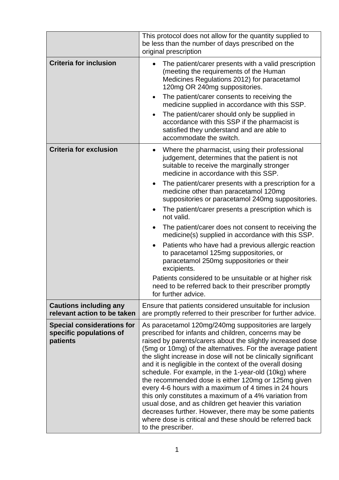|                                                                          | This protocol does not allow for the quantity supplied to<br>be less than the number of days prescribed on the<br>original prescription                                                                                                                                                                                                                                                                                                                                                                                                                                                                                                                                                                                                                                                                          |  |  |
|--------------------------------------------------------------------------|------------------------------------------------------------------------------------------------------------------------------------------------------------------------------------------------------------------------------------------------------------------------------------------------------------------------------------------------------------------------------------------------------------------------------------------------------------------------------------------------------------------------------------------------------------------------------------------------------------------------------------------------------------------------------------------------------------------------------------------------------------------------------------------------------------------|--|--|
| <b>Criteria for inclusion</b>                                            | The patient/carer presents with a valid prescription<br>(meeting the requirements of the Human<br>Medicines Regulations 2012) for paracetamol<br>120mg OR 240mg suppositories.<br>The patient/carer consents to receiving the<br>$\bullet$<br>medicine supplied in accordance with this SSP.<br>The patient/carer should only be supplied in<br>$\bullet$<br>accordance with this SSP if the pharmacist is<br>satisfied they understand and are able to                                                                                                                                                                                                                                                                                                                                                          |  |  |
| <b>Criteria for exclusion</b>                                            | accommodate the switch.<br>Where the pharmacist, using their professional<br>$\bullet$<br>judgement, determines that the patient is not<br>suitable to receive the marginally stronger<br>medicine in accordance with this SSP.                                                                                                                                                                                                                                                                                                                                                                                                                                                                                                                                                                                  |  |  |
|                                                                          | The patient/carer presents with a prescription for a<br>$\bullet$<br>medicine other than paracetamol 120mg<br>suppositories or paracetamol 240mg suppositories.<br>The patient/carer presents a prescription which is<br>$\bullet$<br>not valid.<br>The patient/carer does not consent to receiving the<br>$\bullet$<br>medicine(s) supplied in accordance with this SSP.<br>Patients who have had a previous allergic reaction<br>$\bullet$<br>to paracetamol 125mg suppositories, or<br>paracetamol 250mg suppositories or their<br>excipients.<br>Patients considered to be unsuitable or at higher risk<br>need to be referred back to their prescriber promptly                                                                                                                                             |  |  |
| <b>Cautions including any</b><br>relevant action to be taken             | for further advice.<br>Ensure that patients considered unsuitable for inclusion<br>are promptly referred to their prescriber for further advice.                                                                                                                                                                                                                                                                                                                                                                                                                                                                                                                                                                                                                                                                 |  |  |
| <b>Special considerations for</b><br>specific populations of<br>patients | As paracetamol 120mg/240mg suppositories are largely<br>prescribed for infants and children, concerns may be<br>raised by parents/carers about the slightly increased dose<br>(5mg or 10mg) of the alternatives. For the average patient<br>the slight increase in dose will not be clinically significant<br>and it is negligible in the context of the overall dosing<br>schedule. For example, in the 1-year-old (10kg) where<br>the recommended dose is either 120mg or 125mg given<br>every 4-6 hours with a maximum of 4 times in 24 hours<br>this only constitutes a maximum of a 4% variation from<br>usual dose, and as children get heavier this variation<br>decreases further. However, there may be some patients<br>where dose is critical and these should be referred back<br>to the prescriber. |  |  |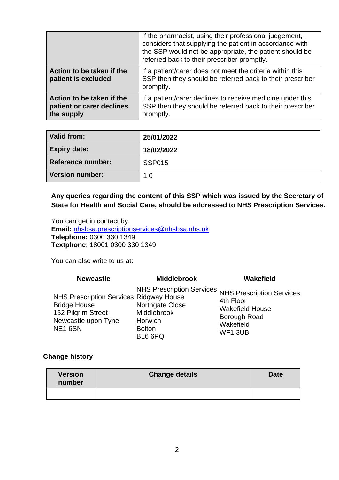|                                                                      | If the pharmacist, using their professional judgement,<br>considers that supplying the patient in accordance with<br>the SSP would not be appropriate, the patient should be<br>referred back to their prescriber promptly. |
|----------------------------------------------------------------------|-----------------------------------------------------------------------------------------------------------------------------------------------------------------------------------------------------------------------------|
| Action to be taken if the<br>patient is excluded                     | If a patient/carer does not meet the criteria within this<br>SSP then they should be referred back to their prescriber<br>promptly.                                                                                         |
| Action to be taken if the<br>patient or carer declines<br>the supply | If a patient/carer declines to receive medicine under this<br>SSP then they should be referred back to their prescriber<br>promptly.                                                                                        |

| Valid from:         | 25/01/2022    |
|---------------------|---------------|
| <b>Expiry date:</b> | 18/02/2022    |
| Reference number:   | <b>SSP015</b> |
| Version number:     | 1.0           |

## **Any queries regarding the content of this SSP which was issued by the Secretary of State for Health and Social Care, should be addressed to NHS Prescription Services.**

You can get in contact by: **Email:** [n](https://contactcentreservices.nhsbsa.nhs.uk/nhsuk/dispatch/0/ge6807flm9iabe/0/?js=on&Referer=http%3A%2F%2Fwww.nhsbsa.nhs.uk%2FStudents%2F5177.aspx&lang=en_GB&Screen=NHSBSA_ContactForm)[hsbsa.prescriptionservices@nhsbsa.nhs.uk](mailto:nhsbsa.prescriptionservices@nhsbsa.nhs.uk) **Telephone:** 0300 330 1349 **Textphone**: 18001 0300 330 1349

You can also write to us at:

| <b>Newcastle</b>                                                                                                              | <b>Middlebrook</b>                                                    | Wakefield                                                                                                                          |
|-------------------------------------------------------------------------------------------------------------------------------|-----------------------------------------------------------------------|------------------------------------------------------------------------------------------------------------------------------------|
| <b>NHS Prescription Services Ridgway House</b><br><b>Bridge House</b><br>152 Pilgrim Street<br>Newcastle upon Tyne<br>NE1 6SN | Northgate Close<br>Middlebrook<br>Horwich<br><b>Bolton</b><br>BL6 6PQ | NHS Prescription Services NHS Prescription Services<br>4th Floor<br><b>Wakefield House</b><br>Borough Road<br>Wakefield<br>WF1 3UB |

## **Change history**

| <b>Version</b><br>number | <b>Change details</b> | <b>Date</b> |
|--------------------------|-----------------------|-------------|
|                          |                       |             |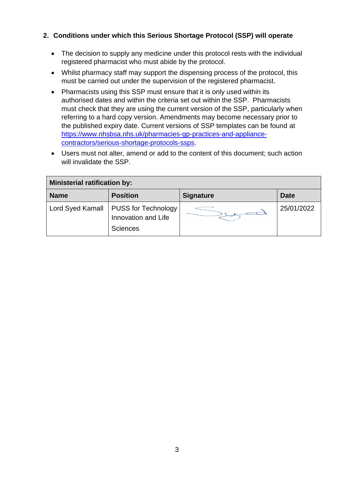## **2. Conditions under which this Serious Shortage Protocol (SSP) will operate**

- The decision to supply any medicine under this protocol rests with the individual registered pharmacist who must abide by the protocol.
- Whilst pharmacy staff may support the dispensing process of the protocol, this must be carried out under the supervision of the registered pharmacist.
- Pharmacists using this SSP must ensure that it is only used within its authorised dates and within the criteria set out within the SSP. Pharmacists must check that they are using the current version of the SSP, particularly when referring to a hard copy version. Amendments may become necessary prior to the published expiry date. Current versions of SSP templates can be found at [https://www.nhsbsa.nhs.uk/pharmacies-gp-practices-and-appliance](https://www.nhsbsa.nhs.uk/pharmacies-gp-practices-and-appliance-contractors/serious-shortage-protocols-ssps)[contractors/serious-shortage-protocols-ssps.](https://www.nhsbsa.nhs.uk/pharmacies-gp-practices-and-appliance-contractors/serious-shortage-protocols-ssps)
- Users must not alter, amend or add to the content of this document; such action will invalidate the SSP.

| <b>Ministerial ratification by:</b> |                                                               |                  |             |
|-------------------------------------|---------------------------------------------------------------|------------------|-------------|
| <b>Name</b>                         | <b>Position</b>                                               | <b>Signature</b> | <b>Date</b> |
| Lord Syed Kamall                    | PUSS for Technology<br>Innovation and Life<br><b>Sciences</b> |                  | 25/01/2022  |